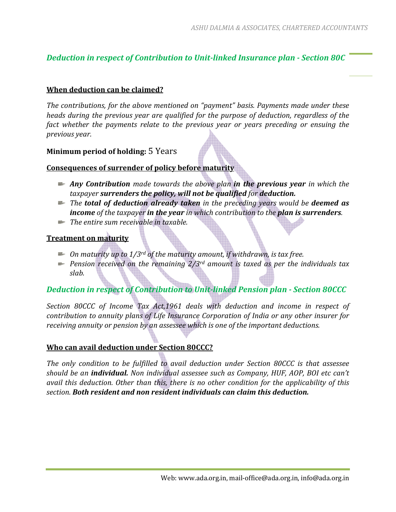# *Deduction in respect of Contribution to Unit-linked Insurance plan - Section 80C*

### **When deduction can be claimed?**

*The contributions, for the above mentioned on "payment" basis. Payments made under these heads during the previous year are qualified for the purpose of deduction, regardless of the fact whether the payments relate to the previous year or years preceding or ensuing the previous year.* 

### **Minimum period of holding:** 5 Years

### **Consequences of surrender of policy before maturity**

- *Any Contribution made towards the above plan in the previous year in which the taxpayer surrenders the policy, will not be qualified for deduction.*
- *The total of deduction already taken in the preceding years would be deemed as income of the taxpayer in the year in which contribution to the plan is surrenders.*
- *The entire sum receivable in taxable.*

### **Treatment on maturity**

- *On maturity up to 1/3rd of the maturity amount, if withdrawn, is tax free.*
- *Pension received on the remaining 2/3rd amount is taxed as per the individuals tax slab.*

## *Deduction in respect of Contribution to Unit-linked Pension plan - Section 80CCC*

*Section 80CCC of Income Tax Act,1961 deals with deduction and income in respect of contribution to annuity plans of Life Insurance Corporation of India or any other insurer for receiving annuity or pension by an assessee which is one of the important deductions.* 

### **Who can avail deduction under Section 80CCC?**

*The only condition to be fulfilled to avail deduction under Section 80CCC is that assessee should be an individual. Non individual assessee such as Company, HUF, AOP, BOI etc can't avail this deduction. Other than this, there is no other condition for the applicability of this section. Both resident and non resident individuals can claim this deduction.*